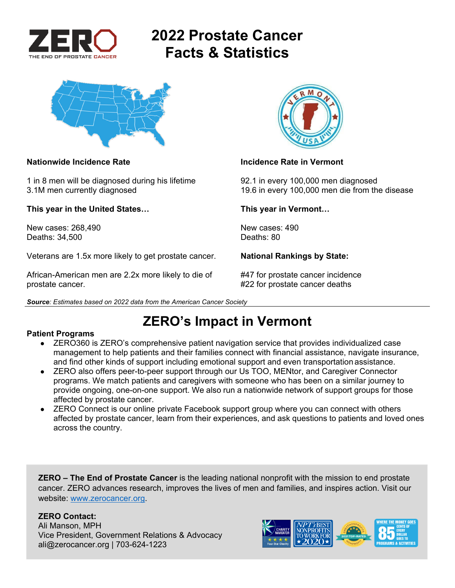

# **2022 Prostate Cancer Facts & Statistics**



1 in 8 men will be diagnosed during his lifetime 92.1 in every 100,000 men diagnosed

**This year in the United States… This year in Vermont…** 

New cases: 268,490 New cases: 490 Deaths: 34,500 Deaths: 80

Veterans are 1.5x more likely to get prostate cancer. **National Rankings by State:** 

African-American men are 2.2x more likely to die of #47 for prostate cancer incidence prostate cancer. #22 for prostate cancer deaths





### **Nationwide Incidence Rate Incidence Rate in Vermont**

3.1M men currently diagnosed 19.6 in every 100,000 men die from the disease

**ZERO's Impact in Vermont** 

### **Patient Programs**

- ZERO360 is ZERO's comprehensive patient navigation service that provides individualized case management to help patients and their families connect with financial assistance, navigate insurance, and find other kinds of support including emotional support and even transportation assistance.
- ZERO also offers peer-to-peer support through our Us TOO, MENtor, and Caregiver Connector programs. We match patients and caregivers with someone who has been on a similar journey to provide ongoing, one-on-one support. We also run a nationwide network of support groups for those affected by prostate cancer.
- ZERO Connect is our online private Facebook support group where you can connect with others affected by prostate cancer, learn from their experiences, and ask questions to patients and loved ones across the country.

**ZERO – The End of Prostate Cancer** is the leading national nonprofit with the mission to end prostate cancer. ZERO advances research, improves the lives of men and families, and inspires action. Visit our website: www.zerocancer.org.

### **ZERO Contact:**

Ali Manson, MPH Vice President, Government Relations & Advocacy ali@zerocancer.org | 703-624-1223